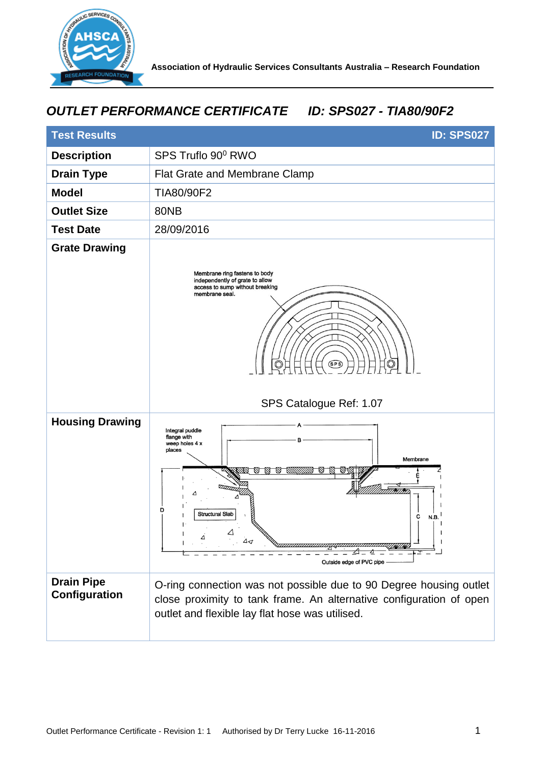

## *OUTLET PERFORMANCE CERTIFICATE ID: SPS027 - TIA80/90F2*